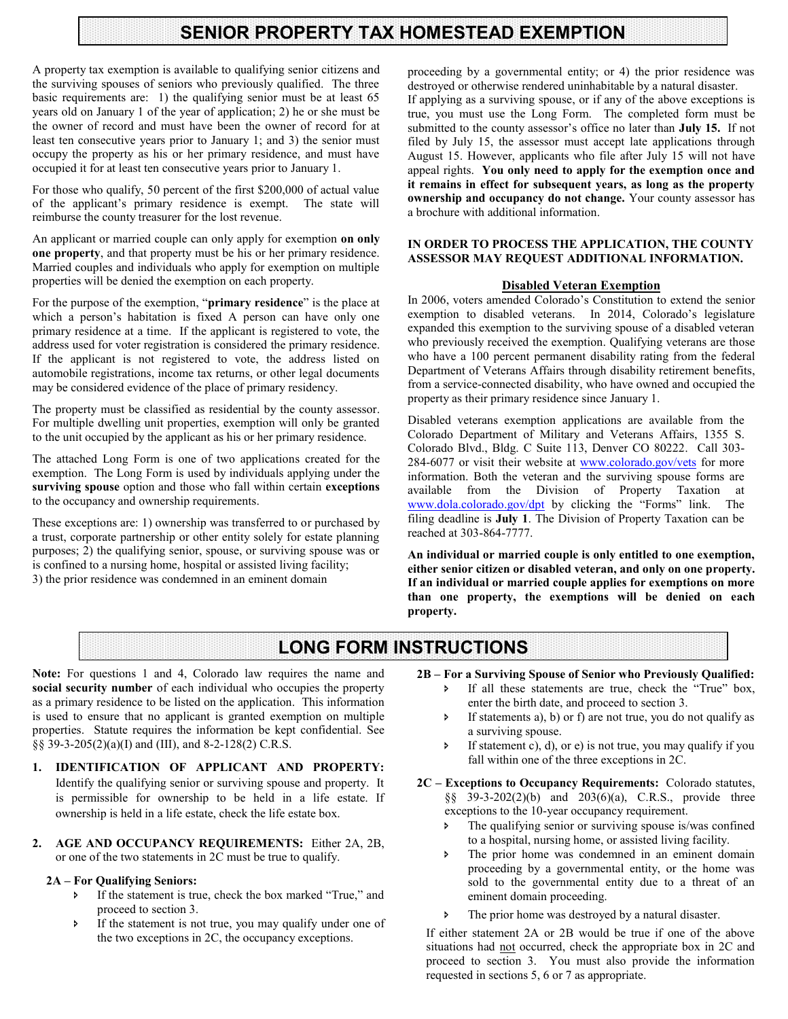## **SENIOR PROPERTY TAX HOMESTEAD EXEMPTION**

A property tax exemption is available to qualifying senior citizens and the surviving spouses of seniors who previously qualified. The three basic requirements are: 1) the qualifying senior must be at least 65 years old on January 1 of the year of application; 2) he or she must be the owner of record and must have been the owner of record for at least ten consecutive years prior to January 1; and 3) the senior must occupy the property as his or her primary residence, and must have occupied it for at least ten consecutive years prior to January 1.

For those who qualify, 50 percent of the first \$200,000 of actual value of the applicant's primary residence is exempt. The state will reimburse the county treasurer for the lost revenue.

An applicant or married couple can only apply for exemption **on only one property**, and that property must be his or her primary residence. Married couples and individuals who apply for exemption on multiple properties will be denied the exemption on each property.

For the purpose of the exemption, "**primary residence**" is the place at which a person's habitation is fixed A person can have only one primary residence at a time. If the applicant is registered to vote, the address used for voter registration is considered the primary residence. If the applicant is not registered to vote, the address listed on automobile registrations, income tax returns, or other legal documents may be considered evidence of the place of primary residency.

The property must be classified as residential by the county assessor. For multiple dwelling unit properties, exemption will only be granted to the unit occupied by the applicant as his or her primary residence.

The attached Long Form is one of two applications created for the exemption. The Long Form is used by individuals applying under the **surviving spouse** option and those who fall within certain **exceptions**  to the occupancy and ownership requirements.

These exceptions are: 1) ownership was transferred to or purchased by a trust, corporate partnership or other entity solely for estate planning purposes; 2) the qualifying senior, spouse, or surviving spouse was or is confined to a nursing home, hospital or assisted living facility; 3) the prior residence was condemned in an eminent domain

proceeding by a governmental entity; or 4) the prior residence was destroyed or otherwise rendered uninhabitable by a natural disaster. If applying as a surviving spouse, or if any of the above exceptions is true, you must use the Long Form. The completed form must be submitted to the county assessor's office no later than **July 15.** If not filed by July 15, the assessor must accept late applications through August 15. However, applicants who file after July 15 will not have appeal rights. **You only need to apply for the exemption once and it remains in effect for subsequent years, as long as the property ownership and occupancy do not change.** Your county assessor has a brochure with additional information.

#### **IN ORDER TO PROCESS THE APPLICATION, THE COUNTY ASSESSOR MAY REQUEST ADDITIONAL INFORMATION.**

#### **Disabled Veteran Exemption**

In 2006, voters amended Colorado's Constitution to extend the senior exemption to disabled veterans. In 2014, Colorado's legislature expanded this exemption to the surviving spouse of a disabled veteran who previously received the exemption. Qualifying veterans are those who have a 100 percent permanent disability rating from the federal Department of Veterans Affairs through disability retirement benefits, from a service-connected disability, who have owned and occupied the property as their primary residence since January 1.

Disabled veterans exemption applications are available from the Colorado Department of Military and Veterans Affairs, 1355 S. Colorado Blvd., Bldg. C Suite 113, Denver CO 80222. Call 303- 284-6077 or visit their website at [www.colorado.gov/vets](http://www.colorado.gov/vets) for more information. Both the veteran and the surviving spouse forms are available from the Division of Property Taxation at [www.dola.colorado.gov/dpt](http://www.dola.colorado.gov/dpt) by clicking the "Forms" link. The filing deadline is **July 1**. The Division of Property Taxation can be reached at 303-864-7777.

**An individual or married couple is only entitled to one exemption, either senior citizen or disabled veteran, and only on one property. If an individual or married couple applies for exemptions on more than one property, the exemptions will be denied on each property.** 

### **LONG FORM INSTRUCTIONS**

**Note:** For questions 1 and 4, Colorado law requires the name and **social security number** of each individual who occupies the property as a primary residence to be listed on the application. This information is used to ensure that no applicant is granted exemption on multiple properties. Statute requires the information be kept confidential. See §§ 39-3-205(2)(a)(I) and (III), and 8-2-128(2) C.R.S.

- **1. IDENTIFICATION OF APPLICANT AND PROPERTY:**  Identify the qualifying senior or surviving spouse and property. It is permissible for ownership to be held in a life estate. If ownership is held in a life estate, check the life estate box.
- **2. AGE AND OCCUPANCY REQUIREMENTS:** Either 2A, 2B, or one of the two statements in 2C must be true to qualify.

#### **2A – For Qualifying Seniors:**

- If the statement is true, check the box marked "True," and proceed to section 3.
- If the statement is not true, you may qualify under one of the two exceptions in 2C, the occupancy exceptions.
- **2B – For a Surviving Spouse of Senior who Previously Qualified:** 
	- If all these statements are true, check the "True" box, enter the birth date, and proceed to section 3.
	- If statements a), b) or f) are not true, you do not qualify as a surviving spouse.
	- If statement c), d), or e) is not true, you may qualify if you fall within one of the three exceptions in 2C.
- **2C – Exceptions to Occupancy Requirements:** Colorado statutes, §§ 39-3-202(2)(b) and 203(6)(a), C.R.S., provide three exceptions to the 10-year occupancy requirement.
	- The qualifying senior or surviving spouse is/was confined to a hospital, nursing home, or assisted living facility.
	- The prior home was condemned in an eminent domain proceeding by a governmental entity, or the home was sold to the governmental entity due to a threat of an eminent domain proceeding.
	- The prior home was destroyed by a natural disaster.

If either statement 2A or 2B would be true if one of the above situations had not occurred, check the appropriate box in 2C and proceed to section 3. You must also provide the information requested in sections 5, 6 or 7 as appropriate.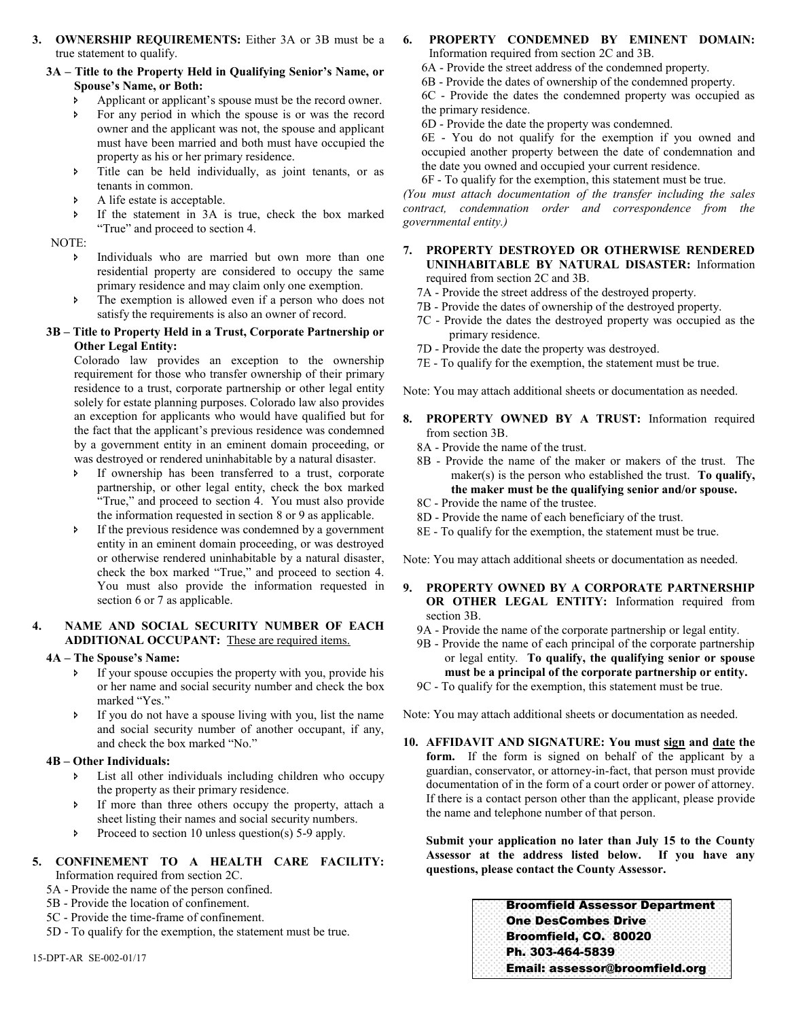**3. OWNERSHIP REQUIREMENTS:** Either 3A or 3B must be a true statement to qualify.

#### **3A – Title to the Property Held in Qualifying Senior's Name, or Spouse's Name, or Both:**

- Applicant or applicant's spouse must be the record owner.
- For any period in which the spouse is or was the record owner and the applicant was not, the spouse and applicant must have been married and both must have occupied the property as his or her primary residence.
- Title can be held individually, as joint tenants, or as tenants in common.
- A life estate is acceptable.
- If the statement in 3A is true, check the box marked "True" and proceed to section 4.

NOTE:

- Individuals who are married but own more than one residential property are considered to occupy the same primary residence and may claim only one exemption.
- The exemption is allowed even if a person who does not satisfy the requirements is also an owner of record.

#### **3B – Title to Property Held in a Trust, Corporate Partnership or Other Legal Entity:**

Colorado law provides an exception to the ownership requirement for those who transfer ownership of their primary residence to a trust, corporate partnership or other legal entity solely for estate planning purposes. Colorado law also provides an exception for applicants who would have qualified but for the fact that the applicant's previous residence was condemned by a government entity in an eminent domain proceeding, or was destroyed or rendered uninhabitable by a natural disaster.

- If ownership has been transferred to a trust, corporate partnership, or other legal entity, check the box marked "True," and proceed to section 4. You must also provide the information requested in section 8 or 9 as applicable.
- If the previous residence was condemned by a government entity in an eminent domain proceeding, or was destroyed or otherwise rendered uninhabitable by a natural disaster, check the box marked "True," and proceed to section 4. You must also provide the information requested in section 6 or 7 as applicable.

#### **4. NAME AND SOCIAL SECURITY NUMBER OF EACH ADDITIONAL OCCUPANT:** These are required items.

#### **4A – The Spouse's Name:**

- If your spouse occupies the property with you, provide his or her name and social security number and check the box marked "Yes."
- If you do not have a spouse living with you, list the name and social security number of another occupant, if any, and check the box marked "No."

#### **4B – Other Individuals:**

- List all other individuals including children who occupy the property as their primary residence.
- If more than three others occupy the property, attach a sheet listing their names and social security numbers.
- Proceed to section 10 unless question(s) 5-9 apply.

#### **5. CONFINEMENT TO A HEALTH CARE FACILITY:** Information required from section 2C.

- 5A Provide the name of the person confined.
- 5B Provide the location of confinement.
- 5C Provide the time-frame of confinement.
- 5D To qualify for the exemption, the statement must be true.
- **6. PROPERTY CONDEMNED BY EMINENT DOMAIN:** Information required from section 2C and 3B.
	- 6A Provide the street address of the condemned property.
	- 6B Provide the dates of ownership of the condemned property.

6C - Provide the dates the condemned property was occupied as the primary residence.

6D - Provide the date the property was condemned.

6E - You do not qualify for the exemption if you owned and occupied another property between the date of condemnation and the date you owned and occupied your current residence.

6F - To qualify for the exemption, this statement must be true.

*(You must attach documentation of the transfer including the sales contract, condemnation order and correspondence from the governmental entity.)* 

- **7. PROPERTY DESTROYED OR OTHERWISE RENDERED UNINHABITABLE BY NATURAL DISASTER:** Information required from section 2C and 3B.
	- 7A Provide the street address of the destroyed property.
	- 7B Provide the dates of ownership of the destroyed property.
	- 7C Provide the dates the destroyed property was occupied as the primary residence.
	- 7D Provide the date the property was destroyed.
	- 7E To qualify for the exemption, the statement must be true.

Note: You may attach additional sheets or documentation as needed.

- **8. PROPERTY OWNED BY A TRUST:** Information required from section 3B.
	- 8A Provide the name of the trust.
	- 8B Provide the name of the maker or makers of the trust. The maker(s) is the person who established the trust. **To qualify, the maker must be the qualifying senior and/or spouse.**
	- 8C Provide the name of the trustee.
	- 8D Provide the name of each beneficiary of the trust.
	- 8E To qualify for the exemption, the statement must be true.

Note: You may attach additional sheets or documentation as needed.

- **9. PROPERTY OWNED BY A CORPORATE PARTNERSHIP OR OTHER LEGAL ENTITY:** Information required from section 3B.
	- 9A Provide the name of the corporate partnership or legal entity.
	- 9B Provide the name of each principal of the corporate partnership or legal entity. **To qualify, the qualifying senior or spouse must be a principal of the corporate partnership or entity.**

9C - To qualify for the exemption, this statement must be true.

Note: You may attach additional sheets or documentation as needed.

**10. AFFIDAVIT AND SIGNATURE: You must sign and date the**  form. If the form is signed on behalf of the applicant by a guardian, conservator, or attorney-in-fact, that person must provide documentation of in the form of a court order or power of attorney. If there is a contact person other than the applicant, please provide the name and telephone number of that person.

**Submit your application no later than July 15 to the County Assessor at the address listed below. If you have any questions, please contact the County Assessor.** 

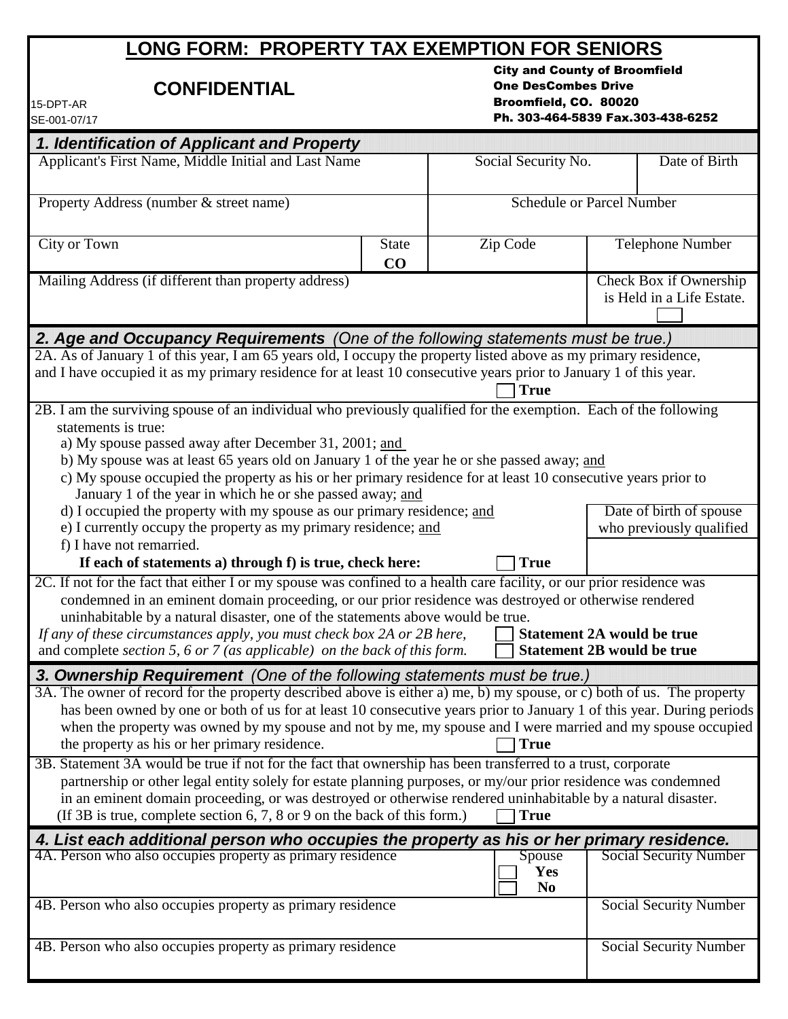# **LONG FORM: PROPERTY TAX EXEMPTION FOR SENIORS**

# **CONFIDENTIAL**

City and County of Broomfield One DesCombes Drive Broomfield, CO. 80020 Ph. 303-464-5839 Fax.303-438-6252

| 15-DPT-AR     |
|---------------|
| ISE-001-07/17 |

| 1. Identification of Applicant and Property<br>Applicant's First Name, Middle Initial and Last Name<br>Date of Birth<br>Social Security No.<br><b>Schedule or Parcel Number</b><br>Property Address (number & street name)<br>City or Town<br>Zip Code<br><b>State</b><br>Telephone Number<br>CO<br>Check Box if Ownership<br>Mailing Address (if different than property address)<br>is Held in a Life Estate.<br>2. Age and Occupancy Requirements (One of the following statements must be true.)<br>2A. As of January 1 of this year, I am 65 years old, I occupy the property listed above as my primary residence,<br><b>True</b><br>statements is true:<br>a) My spouse passed away after December 31, 2001; and<br>b) My spouse was at least 65 years old on January 1 of the year he or she passed away; and<br>c) My spouse occupied the property as his or her primary residence for at least 10 consecutive years prior to<br>January 1 of the year in which he or she passed away; and<br>d) I occupied the property with my spouse as our primary residence; and<br>Date of birth of spouse<br>e) I currently occupy the property as my primary residence; and<br>who previously qualified<br>f) I have not remarried.<br>If each of statements a) through f) is true, check here:<br><b>True</b><br>2C. If not for the fact that either I or my spouse was confined to a health care facility, or our prior residence was<br>condemned in an eminent domain proceeding, or our prior residence was destroyed or otherwise rendered<br>uninhabitable by a natural disaster, one of the statements above would be true.<br>If any of these circumstances apply, you must check box 2A or 2B here,<br><b>Statement 2A would be true</b><br><b>Statement 2B would be true</b><br>and complete section 5, 6 or 7 (as applicable) on the back of this form.<br>3. Ownership Requirement (One of the following statements must be true.)<br>3A. The owner of record for the property described above is either a) me, b) my spouse, or c) both of us. The property<br>has been owned by one or both of us for at least 10 consecutive years prior to January 1 of this year. During periods<br>when the property was owned by my spouse and not by me, my spouse and I were married and my spouse occupied<br>the property as his or her primary residence.<br><b>True</b><br>3B. Statement 3A would be true if not for the fact that ownership has been transferred to a trust, corporate<br>partnership or other legal entity solely for estate planning purposes, or my/our prior residence was condemned<br>in an eminent domain proceeding, or was destroyed or otherwise rendered uninhabitable by a natural disaster.<br>(If 3B is true, complete section 6, 7, 8 or 9 on the back of this form.)<br><b>True</b><br>4. List each additional person who occupies the property as his or her primary residence.<br>4A. Person who also occupies property as primary residence<br>Social Security Number<br>Spouse<br>Yes<br>N <sub>0</sub><br>4B. Person who also occupies property as primary residence<br><b>Social Security Number</b><br>4B. Person who also occupies property as primary residence<br><b>Social Security Number</b> | 5E-001-07/17                                                                                                      |  |  |  |  |  |
|-------------------------------------------------------------------------------------------------------------------------------------------------------------------------------------------------------------------------------------------------------------------------------------------------------------------------------------------------------------------------------------------------------------------------------------------------------------------------------------------------------------------------------------------------------------------------------------------------------------------------------------------------------------------------------------------------------------------------------------------------------------------------------------------------------------------------------------------------------------------------------------------------------------------------------------------------------------------------------------------------------------------------------------------------------------------------------------------------------------------------------------------------------------------------------------------------------------------------------------------------------------------------------------------------------------------------------------------------------------------------------------------------------------------------------------------------------------------------------------------------------------------------------------------------------------------------------------------------------------------------------------------------------------------------------------------------------------------------------------------------------------------------------------------------------------------------------------------------------------------------------------------------------------------------------------------------------------------------------------------------------------------------------------------------------------------------------------------------------------------------------------------------------------------------------------------------------------------------------------------------------------------------------------------------------------------------------------------------------------------------------------------------------------------------------------------------------------------------------------------------------------------------------------------------------------------------------------------------------------------------------------------------------------------------------------------------------------------------------------------------------------------------------------------------------------------------------------------------------------------------------------------------------------------------------------------------------------------------------------------------------------------------------------------------------------------------------------------------------------------------------------------------------------------------------------------------------------------------------------------------------|-------------------------------------------------------------------------------------------------------------------|--|--|--|--|--|
|                                                                                                                                                                                                                                                                                                                                                                                                                                                                                                                                                                                                                                                                                                                                                                                                                                                                                                                                                                                                                                                                                                                                                                                                                                                                                                                                                                                                                                                                                                                                                                                                                                                                                                                                                                                                                                                                                                                                                                                                                                                                                                                                                                                                                                                                                                                                                                                                                                                                                                                                                                                                                                                                                                                                                                                                                                                                                                                                                                                                                                                                                                                                                                                                                                                       |                                                                                                                   |  |  |  |  |  |
|                                                                                                                                                                                                                                                                                                                                                                                                                                                                                                                                                                                                                                                                                                                                                                                                                                                                                                                                                                                                                                                                                                                                                                                                                                                                                                                                                                                                                                                                                                                                                                                                                                                                                                                                                                                                                                                                                                                                                                                                                                                                                                                                                                                                                                                                                                                                                                                                                                                                                                                                                                                                                                                                                                                                                                                                                                                                                                                                                                                                                                                                                                                                                                                                                                                       |                                                                                                                   |  |  |  |  |  |
|                                                                                                                                                                                                                                                                                                                                                                                                                                                                                                                                                                                                                                                                                                                                                                                                                                                                                                                                                                                                                                                                                                                                                                                                                                                                                                                                                                                                                                                                                                                                                                                                                                                                                                                                                                                                                                                                                                                                                                                                                                                                                                                                                                                                                                                                                                                                                                                                                                                                                                                                                                                                                                                                                                                                                                                                                                                                                                                                                                                                                                                                                                                                                                                                                                                       |                                                                                                                   |  |  |  |  |  |
|                                                                                                                                                                                                                                                                                                                                                                                                                                                                                                                                                                                                                                                                                                                                                                                                                                                                                                                                                                                                                                                                                                                                                                                                                                                                                                                                                                                                                                                                                                                                                                                                                                                                                                                                                                                                                                                                                                                                                                                                                                                                                                                                                                                                                                                                                                                                                                                                                                                                                                                                                                                                                                                                                                                                                                                                                                                                                                                                                                                                                                                                                                                                                                                                                                                       |                                                                                                                   |  |  |  |  |  |
|                                                                                                                                                                                                                                                                                                                                                                                                                                                                                                                                                                                                                                                                                                                                                                                                                                                                                                                                                                                                                                                                                                                                                                                                                                                                                                                                                                                                                                                                                                                                                                                                                                                                                                                                                                                                                                                                                                                                                                                                                                                                                                                                                                                                                                                                                                                                                                                                                                                                                                                                                                                                                                                                                                                                                                                                                                                                                                                                                                                                                                                                                                                                                                                                                                                       |                                                                                                                   |  |  |  |  |  |
|                                                                                                                                                                                                                                                                                                                                                                                                                                                                                                                                                                                                                                                                                                                                                                                                                                                                                                                                                                                                                                                                                                                                                                                                                                                                                                                                                                                                                                                                                                                                                                                                                                                                                                                                                                                                                                                                                                                                                                                                                                                                                                                                                                                                                                                                                                                                                                                                                                                                                                                                                                                                                                                                                                                                                                                                                                                                                                                                                                                                                                                                                                                                                                                                                                                       |                                                                                                                   |  |  |  |  |  |
|                                                                                                                                                                                                                                                                                                                                                                                                                                                                                                                                                                                                                                                                                                                                                                                                                                                                                                                                                                                                                                                                                                                                                                                                                                                                                                                                                                                                                                                                                                                                                                                                                                                                                                                                                                                                                                                                                                                                                                                                                                                                                                                                                                                                                                                                                                                                                                                                                                                                                                                                                                                                                                                                                                                                                                                                                                                                                                                                                                                                                                                                                                                                                                                                                                                       | and I have occupied it as my primary residence for at least 10 consecutive years prior to January 1 of this year. |  |  |  |  |  |
|                                                                                                                                                                                                                                                                                                                                                                                                                                                                                                                                                                                                                                                                                                                                                                                                                                                                                                                                                                                                                                                                                                                                                                                                                                                                                                                                                                                                                                                                                                                                                                                                                                                                                                                                                                                                                                                                                                                                                                                                                                                                                                                                                                                                                                                                                                                                                                                                                                                                                                                                                                                                                                                                                                                                                                                                                                                                                                                                                                                                                                                                                                                                                                                                                                                       | 2B. I am the surviving spouse of an individual who previously qualified for the exemption. Each of the following  |  |  |  |  |  |
|                                                                                                                                                                                                                                                                                                                                                                                                                                                                                                                                                                                                                                                                                                                                                                                                                                                                                                                                                                                                                                                                                                                                                                                                                                                                                                                                                                                                                                                                                                                                                                                                                                                                                                                                                                                                                                                                                                                                                                                                                                                                                                                                                                                                                                                                                                                                                                                                                                                                                                                                                                                                                                                                                                                                                                                                                                                                                                                                                                                                                                                                                                                                                                                                                                                       |                                                                                                                   |  |  |  |  |  |
|                                                                                                                                                                                                                                                                                                                                                                                                                                                                                                                                                                                                                                                                                                                                                                                                                                                                                                                                                                                                                                                                                                                                                                                                                                                                                                                                                                                                                                                                                                                                                                                                                                                                                                                                                                                                                                                                                                                                                                                                                                                                                                                                                                                                                                                                                                                                                                                                                                                                                                                                                                                                                                                                                                                                                                                                                                                                                                                                                                                                                                                                                                                                                                                                                                                       |                                                                                                                   |  |  |  |  |  |
|                                                                                                                                                                                                                                                                                                                                                                                                                                                                                                                                                                                                                                                                                                                                                                                                                                                                                                                                                                                                                                                                                                                                                                                                                                                                                                                                                                                                                                                                                                                                                                                                                                                                                                                                                                                                                                                                                                                                                                                                                                                                                                                                                                                                                                                                                                                                                                                                                                                                                                                                                                                                                                                                                                                                                                                                                                                                                                                                                                                                                                                                                                                                                                                                                                                       |                                                                                                                   |  |  |  |  |  |
|                                                                                                                                                                                                                                                                                                                                                                                                                                                                                                                                                                                                                                                                                                                                                                                                                                                                                                                                                                                                                                                                                                                                                                                                                                                                                                                                                                                                                                                                                                                                                                                                                                                                                                                                                                                                                                                                                                                                                                                                                                                                                                                                                                                                                                                                                                                                                                                                                                                                                                                                                                                                                                                                                                                                                                                                                                                                                                                                                                                                                                                                                                                                                                                                                                                       |                                                                                                                   |  |  |  |  |  |
|                                                                                                                                                                                                                                                                                                                                                                                                                                                                                                                                                                                                                                                                                                                                                                                                                                                                                                                                                                                                                                                                                                                                                                                                                                                                                                                                                                                                                                                                                                                                                                                                                                                                                                                                                                                                                                                                                                                                                                                                                                                                                                                                                                                                                                                                                                                                                                                                                                                                                                                                                                                                                                                                                                                                                                                                                                                                                                                                                                                                                                                                                                                                                                                                                                                       |                                                                                                                   |  |  |  |  |  |
|                                                                                                                                                                                                                                                                                                                                                                                                                                                                                                                                                                                                                                                                                                                                                                                                                                                                                                                                                                                                                                                                                                                                                                                                                                                                                                                                                                                                                                                                                                                                                                                                                                                                                                                                                                                                                                                                                                                                                                                                                                                                                                                                                                                                                                                                                                                                                                                                                                                                                                                                                                                                                                                                                                                                                                                                                                                                                                                                                                                                                                                                                                                                                                                                                                                       |                                                                                                                   |  |  |  |  |  |
|                                                                                                                                                                                                                                                                                                                                                                                                                                                                                                                                                                                                                                                                                                                                                                                                                                                                                                                                                                                                                                                                                                                                                                                                                                                                                                                                                                                                                                                                                                                                                                                                                                                                                                                                                                                                                                                                                                                                                                                                                                                                                                                                                                                                                                                                                                                                                                                                                                                                                                                                                                                                                                                                                                                                                                                                                                                                                                                                                                                                                                                                                                                                                                                                                                                       |                                                                                                                   |  |  |  |  |  |
|                                                                                                                                                                                                                                                                                                                                                                                                                                                                                                                                                                                                                                                                                                                                                                                                                                                                                                                                                                                                                                                                                                                                                                                                                                                                                                                                                                                                                                                                                                                                                                                                                                                                                                                                                                                                                                                                                                                                                                                                                                                                                                                                                                                                                                                                                                                                                                                                                                                                                                                                                                                                                                                                                                                                                                                                                                                                                                                                                                                                                                                                                                                                                                                                                                                       |                                                                                                                   |  |  |  |  |  |
|                                                                                                                                                                                                                                                                                                                                                                                                                                                                                                                                                                                                                                                                                                                                                                                                                                                                                                                                                                                                                                                                                                                                                                                                                                                                                                                                                                                                                                                                                                                                                                                                                                                                                                                                                                                                                                                                                                                                                                                                                                                                                                                                                                                                                                                                                                                                                                                                                                                                                                                                                                                                                                                                                                                                                                                                                                                                                                                                                                                                                                                                                                                                                                                                                                                       |                                                                                                                   |  |  |  |  |  |
|                                                                                                                                                                                                                                                                                                                                                                                                                                                                                                                                                                                                                                                                                                                                                                                                                                                                                                                                                                                                                                                                                                                                                                                                                                                                                                                                                                                                                                                                                                                                                                                                                                                                                                                                                                                                                                                                                                                                                                                                                                                                                                                                                                                                                                                                                                                                                                                                                                                                                                                                                                                                                                                                                                                                                                                                                                                                                                                                                                                                                                                                                                                                                                                                                                                       |                                                                                                                   |  |  |  |  |  |